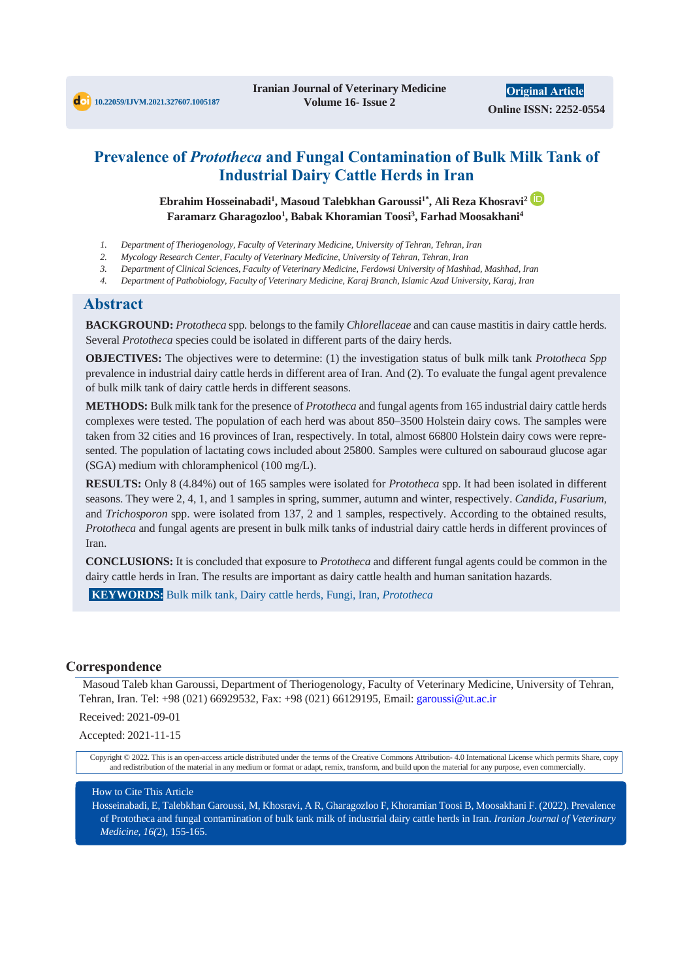## **Prevalence of** *Prototheca* **and Fungal Contamination of Bulk Milk Tank of Industrial Dairy Cattle Herds in Iran**

**Ebrahim Hosseinabadi<sup>1</sup> , Masoud Talebkhan Garoussi1\*, Ali Reza Khosravi<sup>2</sup> Faramarz Gharagozloo<sup>1</sup> , Babak Khoramian Toosi<sup>3</sup> , Farhad Moosakhani<sup>4</sup>**

- *1. Department of Theriogenology, Faculty of Veterinary Medicine, University of Tehran, Tehran, Iran*
- *2. Mycology Research Center, Faculty of Veterinary Medicine, University of Tehran, Tehran, Iran*
- *3. Department of Clinical Sciences, Faculty of Veterinary Medicine, Ferdowsi University of Mashhad, Mashhad, Iran*
- *4. Department of Pathobiology, Faculty of Veterinary Medicine, Karaj Branch, Islamic Azad University, Karaj, Iran*

#### **Abstract**

**BACKGROUND:** *Prototheca* spp*.* belongs to the family *Chlorellaceae* and can cause mastitis in dairy cattle herds. Several *Prototheca* species could be isolated in different parts of the dairy herds.

**OBJECTIVES:** The objectives were to determine: (1) the investigation status of bulk milk tank *Prototheca Spp* prevalence in industrial dairy cattle herds in different area of Iran. And (2). To evaluate the fungal agent prevalence of bulk milk tank of dairy cattle herds in different seasons.

**METHODS:** Bulk milk tank for the presence of *Prototheca* and fungal agents from 165 industrial dairy cattle herds complexes were tested. The population of each herd was about 850–3500 Holstein dairy cows. The samples were taken from 32 cities and 16 provinces of Iran, respectively. In total, almost 66800 Holstein dairy cows were represented. The population of lactating cows included about 25800. Samples were cultured on sabouraud glucose agar (SGA) medium with chloramphenicol (100 mg/L).

**RESULTS:** Only 8 (4.84%) out of 165 samples were isolated for *Prototheca* spp. It had been isolated in different seasons. They were 2, 4, 1, and 1 samples in spring, summer, autumn and winter, respectively. *Candida, Fusarium,*  and *Trichosporon* spp. were isolated from 137, 2 and 1 samples, respectively. According to the obtained results, *Prototheca* and fungal agents are present in bulk milk tanks of industrial dairy cattle herds in different provinces of Iran.

**CONCLUSIONS:** It is concluded that exposure to *Prototheca* and different fungal agents could be common in the dairy cattle herds in Iran. The results are important as dairy cattle health and human sanitation hazards.

**KEYWORDS:** Bulk milk tank, Dairy cattle herds, Fungi, Iran, *Prototheca*

#### **Correspondence**

Masoud Taleb khan Garoussi, Department of Theriogenology, Faculty of Veterinary Medicine, University of Tehran, Tehran, Iran. Tel: +98 (021) 66929532, Fax: +98 (021) 66129195, Email: garoussi@ut.ac.ir

Received: 2021-09-01

Accepted: 2021-11-15

Copyright © 2022. This is an open-access article distributed under the terms of the Creative Commons Attribution- 4.0 International License which permits Share, copy and redistribution of the material in any medium or format or adapt, remix, transform, and build upon the material for any purpose, even commercially.

#### How to Cite This Article

Hosseinabadi, E, Talebkhan Garoussi, M, Khosravi, A R, Gharagozloo F, Khoramian Toosi B, Moosakhani F. (2022). Prevalence of Prototheca and fungal contamination of bulk tank milk of industrial dairy cattle herds in Iran. *Iranian Journal of Veterinary Medicine, 16(*2), 155-165.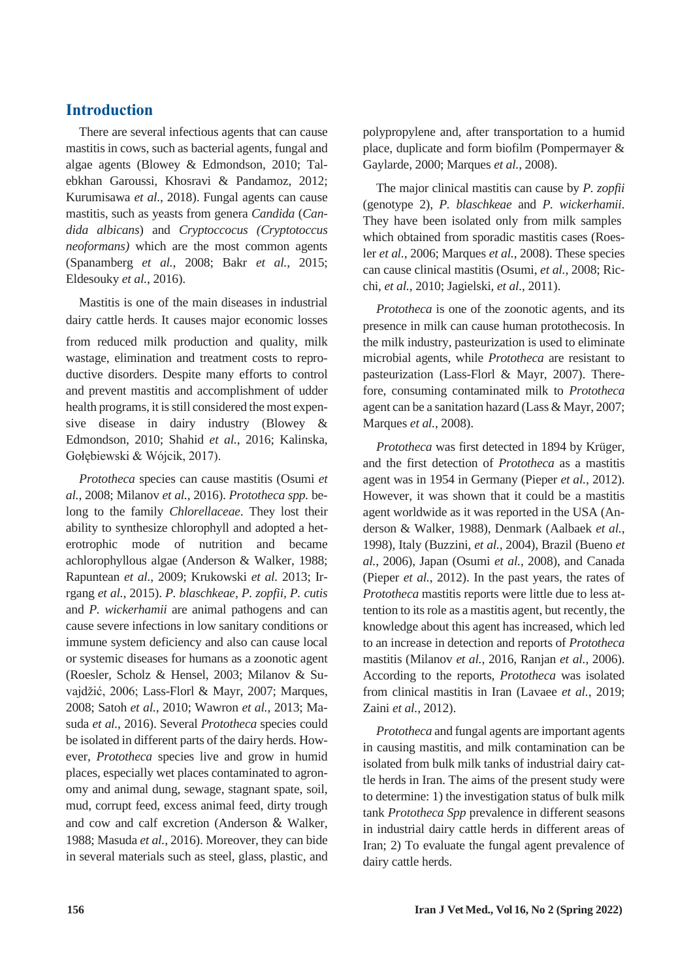## **Introduction**

There are several infectious agents that can cause mastitis in cows, such as bacterial agents, fungal and algae agents (Blowey & Edmondson, 2010; Talebkhan Garoussi*,* Khosravi & Pandamoz, 2012; Kurumisawa *et al.*, 2018). Fungal agents can cause mastitis, such as yeasts from genera *Candida* (*Candida albicans*) and *Cryptoccocus (Cryptotoccus neoformans)* which are the most common agents (Spanamberg *et al.*, 2008; Bakr *et al.*, 2015; Eldesouky *et al.*, 2016).

Mastitis is one of the main diseases in industrial dairy cattle herds. It causes major economic losses from reduced milk production and quality, milk wastage, elimination and treatment costs to reproductive disorders. Despite many efforts to control and prevent mastitis and accomplishment of udder health programs, it is still considered the most expensive disease in dairy industry (Blowey & Edmondson, 2010; Shahid *et al.*, 2016; Kalinska, Gołębiewski & Wójcik, 2017).

*Prototheca* species can cause mastitis (Osumi *et al.*, 2008; Milanov *et al.*, 2016). *Prototheca spp.* belong to the family *Chlorellaceae*. They lost their ability to synthesize chlorophyll and adopted a heterotrophic mode of nutrition and became achlorophyllous algae (Anderson & Walker, 1988; Rapuntean *et al.*, 2009; Krukowski *et al.* 2013; Irrgang *et al.*, 2015). *P. blaschkeae, P. zopfii, P. cutis*  and *P. wickerhamii* are animal pathogens and can cause severe infections in low sanitary conditions or immune system deficiency and also can cause local or systemic diseases for humans as a zoonotic agent (Roesler*,* Scholz & Hensel, 2003; Milanov & Suvajdžić, 2006; Lass-Florl & Mayr, 2007; Marques, 2008; Satoh *et al.*, 2010; Wawron *et al.*, 2013; Masuda *et al.*, 2016). Several *Prototheca* species could be isolated in different parts of the dairy herds. However, *Prototheca* species live and grow in humid places, especially wet places contaminated to agronomy and animal dung, sewage, stagnant spate, soil, mud, corrupt feed, excess animal feed, dirty trough and cow and calf excretion (Anderson & Walker, 1988; Masuda *et al.*, 2016). Moreover, they can bide in several materials such as steel, glass, plastic, and polypropylene and, after transportation to a humid place, duplicate and form biofilm (Pompermayer & Gaylarde, 2000; Marques *et al.*, 2008).

The major clinical mastitis can cause by *P. zopfii*  (genotype 2), *P. blaschkeae* and *P. wickerhamii*. They have been isolated only from milk samples which obtained from sporadic mastitis cases (Roesler *et al.*, 2006; Marques *et al.*, 2008). These species can cause clinical mastitis (Osumi, *et al.*, 2008; Ricchi, *et al.*, 2010; Jagielski, *et al.*, 2011).

*Prototheca* is one of the zoonotic agents, and its presence in milk can cause human protothecosis. In the milk industry, pasteurization is used to eliminate microbial agents, while *Prototheca* are resistant to pasteurization (Lass-Florl & Mayr, 2007). Therefore, consuming contaminated milk to *Prototheca* agent can be a sanitation hazard (Lass & Mayr, 2007; Marques *et al.*, 2008).

*Prototheca* was first detected in 1894 by Krüger, and the first detection of *Prototheca* as a mastitis agent was in 1954 in Germany (Pieper *et al.*, 2012). However, it was shown that it could be a mastitis agent worldwide as it was reported in the USA (Anderson & Walker*,* 1988), Denmark (Aalbaek *et al.*, 1998), Italy (Buzzini, *et al.*, 2004), Brazil (Bueno *et al.*, 2006), Japan (Osumi *et al.*, 2008), and Canada (Pieper *et al.*, 2012). In the past years, the rates of *Prototheca* mastitis reports were little due to less attention to its role as a mastitis agent, but recently, the knowledge about this agent has increased, which led to an increase in detection and reports of *Prototheca* mastitis (Milanov *et al.*, 2016, Ranjan *et al.*, 2006). According to the reports, *Prototheca* was isolated from clinical mastitis in Iran (Lavaee *et al.*, 2019; Zaini *et al.,* 2012).

*Prototheca* and fungal agents are important agents in causing mastitis, and milk contamination can be isolated from bulk milk tanks of industrial dairy cattle herds in Iran. The aims of the present study were to determine: 1) the investigation status of bulk milk tank *Prototheca Spp* prevalence in different seasons in industrial dairy cattle herds in different areas of Iran; 2) To evaluate the fungal agent prevalence of dairy cattle herds.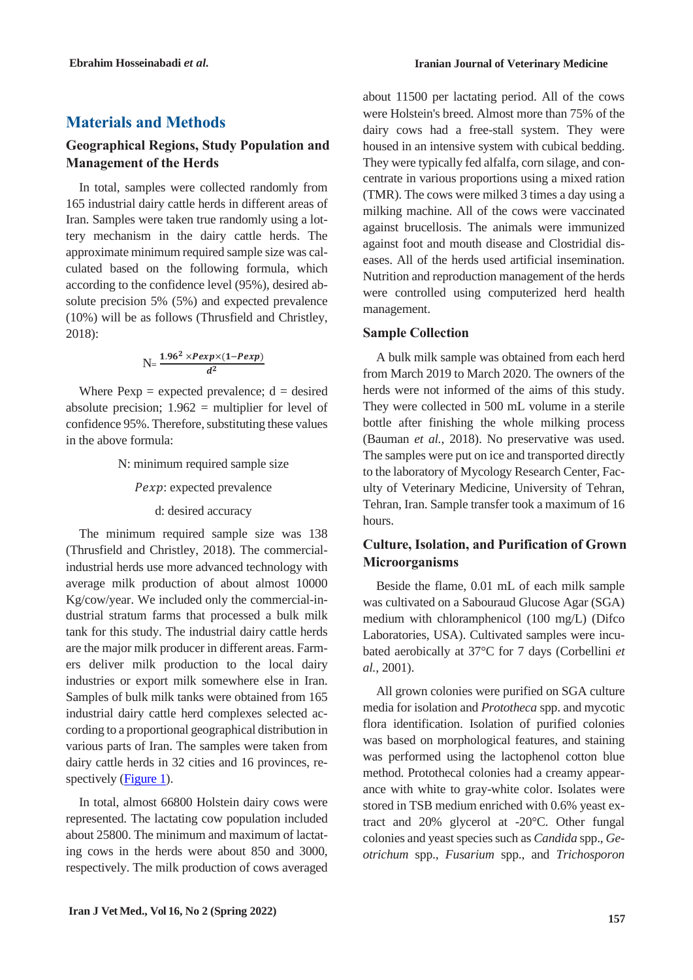## **Materials and Methods**

## **Geographical Regions, Study Population and Management of the Herds**

In total, samples were collected randomly from 165 industrial dairy cattle herds in different areas of Iran. Samples were taken true randomly using a lottery mechanism in the dairy cattle herds. The approximate minimum required sample size was calculated based on the following formula, which according to the confidence level (95%), desired absolute precision 5% (5%) and expected prevalence (10%) will be as follows (Thrusfield and Christley, 2018):

$$
N=\frac{1.96^2 \times Pexp \times (1-Pexp)}{d^2}
$$

Where  $Pexp = expected$  prevalence;  $d = desired$ absolute precision;  $1.962$  = multiplier for level of confidence 95%. Therefore, substituting these values in the above formula:

N: minimum required sample size

Pexp: expected prevalence

d: desired accuracy

The minimum required sample size was 138 (Thrusfield and Christley, 2018). The commercialindustrial herds use more advanced technology with average milk production of about almost 10000 Kg/cow/year. We included only the commercial-industrial stratum farms that processed a bulk milk tank for this study. The industrial dairy cattle herds are the major milk producer in different areas. Farmers deliver milk production to the local dairy industries or export milk somewhere else in Iran. Samples of bulk milk tanks were obtained from 165 industrial dairy cattle herd complexes selected according to a proportional geographical distribution in various parts of Iran. The samples were taken from dairy cattle herds in 32 cities and 16 provinces, respectively (Figure 1).

In total, almost 66800 Holstein dairy cows were represented. The lactating cow population included about 25800. The minimum and maximum of lactating cows in the herds were about 850 and 3000, respectively. The milk production of cows averaged about 11500 per lactating period. All of the cows were Holstein's breed. Almost more than 75% of the dairy cows had a free-stall system. They were housed in an intensive system with cubical bedding. They were typically fed alfalfa, corn silage, and concentrate in various proportions using a mixed ration (TMR). The cows were milked 3 times a day using a milking machine. All of the cows were vaccinated against brucellosis. The animals were immunized against foot and mouth disease and Clostridial diseases. All of the herds used artificial insemination. Nutrition and reproduction management of the herds were controlled using computerized herd health management.

### **Sample Collection**

A bulk milk sample was obtained from each herd from March 2019 to March 2020. The owners of the herds were not informed of the aims of this study. They were collected in 500 mL volume in a sterile bottle after finishing the whole milking process (Bauman *et al.*, 2018). No preservative was used. The samples were put on ice and transported directly to the laboratory of Mycology Research Center, Faculty of Veterinary Medicine, University of Tehran, Tehran, Iran. Sample transfer took a maximum of 16 hours.

## **Culture, Isolation, and Purification of Grown Microorganisms**

Beside the flame, 0.01 mL of each milk sample was cultivated on a Sabouraud Glucose Agar (SGA) medium with chloramphenicol (100 mg/L) (Difco Laboratories, USA). Cultivated samples were incubated aerobically at 37°C for 7 days (Corbellini *et al.,* 2001).

All grown colonies were purified on SGA culture media for isolation and *Prototheca* spp. and mycotic flora identification. Isolation of purified colonies was based on morphological features, and staining was performed using the lactophenol cotton blue method. Protothecal colonies had a creamy appearance with white to gray-white color. Isolates were stored in TSB medium enriched with 0.6% yeast extract and 20% glycerol at -20°C. Other fungal colonies and yeast species such as *Candida* spp., *Geotrichum* spp., *Fusarium* spp., and *Trichosporon*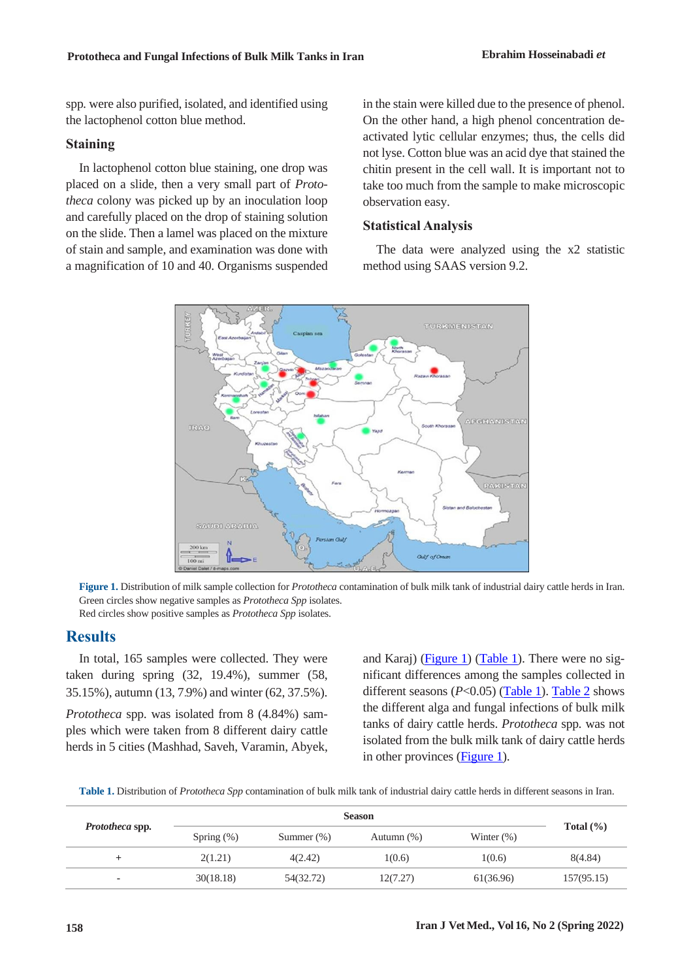spp*.* were also purified, isolated, and identified using the lactophenol cotton blue method.

#### **Staining**

In lactophenol cotton blue staining, one drop was placed on a slide, then a very small part of *Prototheca* colony was picked up by an inoculation loop and carefully placed on the drop of staining solution on the slide. Then a lamel was placed on the mixture of stain and sample, and examination was done with a magnification of 10 and 40. Organisms suspended in the stain were killed due to the presence of phenol. On the other hand, a high phenol concentration deactivated lytic cellular enzymes; thus, the cells did not lyse. Cotton blue was an acid dye that stained the chitin present in the cell wall. It is important not to take too much from the sample to make microscopic observation easy.

#### **Statistical Analysis**

The data were analyzed using the x2 statistic method using SAAS version 9.2.



**Figure 1.** Distribution of milk sample collection for *Prototheca* contamination of bulk milk tank of industrial dairy cattle herds in Iran. Green circles show negative samples as *Prototheca Spp* isolates. Red circles show positive samples as *Prototheca Spp* isolates.

### **Results**

In total, 165 samples were collected. They were taken during spring (32, 19.4%), summer (58, 35.15%), autumn (13, 7.9%) and winter (62, 37.5%).

*Prototheca* spp. was isolated from 8 (4.84%) samples which were taken from 8 different dairy cattle herds in 5 cities (Mashhad, Saveh, Varamin, Abyek, and Karaj) (Figure 1) [\(Table 1\)](#page-3-0). There were no significant differences among the samples collected in different seasons  $(P<0.05)$  [\(Table 1\)](#page-3-0). [Table 2](#page-4-0) shows the different alga and fungal infections of bulk milk tanks of dairy cattle herds. *Prototheca* spp*.* was not isolated from the bulk milk tank of dairy cattle herds in other provinces (**Figure 1**).

<span id="page-3-0"></span>**Table 1.** Distribution of *Prototheca Spp* contamination of bulk milk tank of industrial dairy cattle herds in different seasons in Iran.

| <i>Prototheca</i> spp. |               |               |               |               |               |
|------------------------|---------------|---------------|---------------|---------------|---------------|
|                        | Spring $(\%)$ | Summer $(\%)$ | Autumn $(\%)$ | Winter $(\%)$ | Total $(\% )$ |
| +                      | 2(1.21)       | 4(2.42)       | 1(0.6)        | 1(0.6)        | 8(4.84)       |
| ۰                      | 30(18.18)     | 54(32.72)     | 12(7.27)      | 61(36.96)     | 157(95.15)    |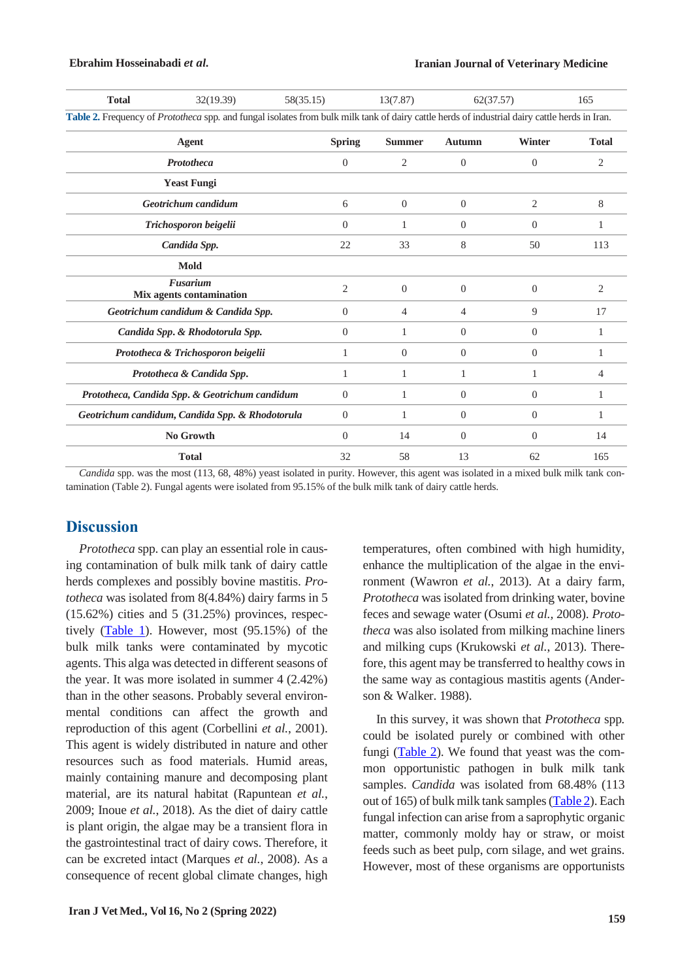<span id="page-4-0"></span>

| <b>Total</b>                                                                                                                                  | 32(19.39)          | 58(35.15)      | 13(7.87)       |                | 62(37.57) | 165          |  |  |  |
|-----------------------------------------------------------------------------------------------------------------------------------------------|--------------------|----------------|----------------|----------------|-----------|--------------|--|--|--|
| Table 2. Frequency of Prototheca spp. and fungal isolates from bulk milk tank of dairy cattle herds of industrial dairy cattle herds in Iran. |                    |                |                |                |           |              |  |  |  |
| Agent                                                                                                                                         |                    | <b>Spring</b>  | <b>Summer</b>  | <b>Autumn</b>  | Winter    | <b>Total</b> |  |  |  |
| <b>Prototheca</b>                                                                                                                             |                    | $\Omega$       | 2              | $\overline{0}$ | $\Omega$  | 2            |  |  |  |
|                                                                                                                                               | <b>Yeast Fungi</b> |                |                |                |           |              |  |  |  |
| Geotrichum candidum                                                                                                                           |                    | 6              | $\overline{0}$ | $\overline{0}$ | 2         | 8            |  |  |  |
| Trichosporon beigelii                                                                                                                         |                    | $\Omega$       | 1              | $\Omega$       | $\Omega$  | 1            |  |  |  |
|                                                                                                                                               | Candida Spp.       | 22             | 33             | 8              | 50        | 113          |  |  |  |
|                                                                                                                                               | <b>Mold</b>        |                |                |                |           |              |  |  |  |
| Fusarium<br>Mix agents contamination                                                                                                          |                    | $\overline{c}$ | $\Omega$       | $\Omega$       | $\Omega$  | 2            |  |  |  |
| Geotrichum candidum & Candida Spp.                                                                                                            |                    | $\overline{0}$ | 4              | 4              | 9         | 17           |  |  |  |
| Candida Spp. & Rhodotorula Spp.                                                                                                               |                    | $\Omega$       | 1              | $\Omega$       | $\Omega$  | 1            |  |  |  |
| Prototheca & Trichosporon beigelii                                                                                                            |                    | 1              | $\overline{0}$ | $\overline{0}$ | $\Omega$  | 1            |  |  |  |
| Prototheca & Candida Spp.                                                                                                                     |                    | 1              | 1              | 1              | 1         | 4            |  |  |  |
| Prototheca, Candida Spp. & Geotrichum candidum                                                                                                |                    | $\Omega$       | 1              | $\Omega$       | $\Omega$  | 1            |  |  |  |
| Geotrichum candidum, Candida Spp. & Rhodotorula                                                                                               |                    | $\Omega$       | 1              | $\Omega$       | $\Omega$  | 1            |  |  |  |
| No Growth                                                                                                                                     |                    | $\Omega$       | 14             | $\Omega$       | $\Omega$  | 14           |  |  |  |
| <b>Total</b>                                                                                                                                  |                    | 32             | 58             | 13             | 62        | 165          |  |  |  |

*Candida* spp. was the most (113, 68, 48%) yeast isolated in purity. However, this agent was isolated in a mixed bulk milk tank contamination (Table 2). Fungal agents were isolated from 95.15% of the bulk milk tank of dairy cattle herds.

### **Discussion**

*Prototheca* spp. can play an essential role in causing contamination of bulk milk tank of dairy cattle herds complexes and possibly bovine mastitis. *Prototheca* was isolated from 8(4.84%) dairy farms in 5  $(15.62\%)$  cities and 5  $(31.25\%)$  provinces, respectively [\(Table 1\)](#page-3-0). However, most (95.15%) of the bulk milk tanks were contaminated by mycotic agents. This alga was detected in different seasons of the year. It was more isolated in summer 4 (2.42%) than in the other seasons. Probably several environmental conditions can affect the growth and reproduction of this agent (Corbellini *et al.*, 2001). This agent is widely distributed in nature and other resources such as food materials. Humid areas, mainly containing manure and decomposing plant material, are its natural habitat (Rapuntean *et al.*, 2009; Inoue *et al.*, 2018). As the diet of dairy cattle is plant origin, the algae may be a transient flora in the gastrointestinal tract of dairy cows. Therefore, it can be excreted intact (Marques *et al.*, 2008). As a consequence of recent global climate changes, high

**Iran J Vet Med., Vol 16, No 2 (Spring 2022)**

temperatures, often combined with high humidity, enhance the multiplication of the algae in the environment (Wawron *et al.*, 2013). At a dairy farm, *Prototheca* was isolated from drinking water, bovine feces and sewage water (Osumi *et al.,* 2008). *Prototheca* was also isolated from milking machine liners and milking cups (Krukowski *et al.*, 2013). Therefore, this agent may be transferred to healthy cows in the same way as contagious mastitis agents (Anderson & Walker. 1988).

In this survey, it was shown that *Prototheca* spp*.* could be isolated purely or combined with other fungi [\(Table 2\)](#page-4-0). We found that yeast was the common opportunistic pathogen in bulk milk tank samples. *Candida* was isolated from 68.48% (113 out of 165) of bulk milk tank samples [\(Table 2\)](#page-4-0). Each fungal infection can arise from a saprophytic organic matter, commonly moldy hay or straw, or moist feeds such as beet pulp, corn silage, and wet grains. However, most of these organisms are opportunists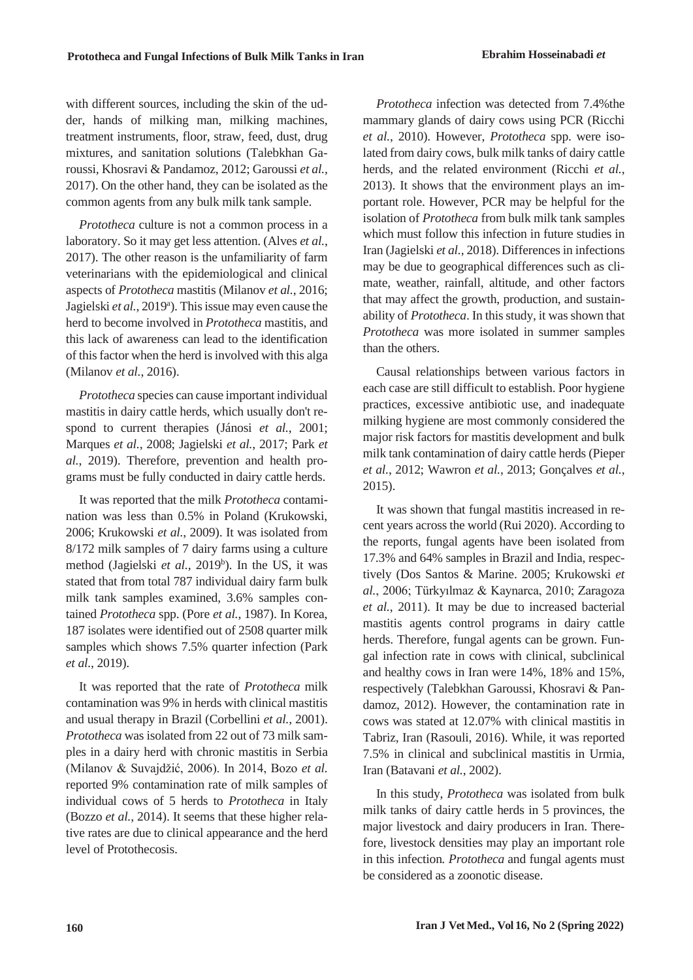with different sources, including the skin of the udder, hands of milking man, milking machines, treatment instruments, floor, straw, feed, dust, drug mixtures, and sanitation solutions (Talebkhan Garoussi*,* Khosravi & Pandamoz, 2012; Garoussi *et al.*, 2017). On the other hand, they can be isolated as the common agents from any bulk milk tank sample.

*Prototheca* culture is not a common process in a laboratory. So it may get less attention. (Alves *et al.*, 2017). The other reason is the unfamiliarity of farm veterinarians with the epidemiological and clinical aspects of *Prototheca* mastitis (Milanov *et al.*, 2016; Jagielski et al., 2019<sup>a</sup>). This issue may even cause the herd to become involved in *Prototheca* mastitis, and this lack of awareness can lead to the identification of this factor when the herd is involved with this alga (Milanov *et al.*, 2016).

*Prototheca* species can cause important individual mastitis in dairy cattle herds, which usually don't respond to current therapies (Jánosi *et al.*, 2001; Marques *et al.*, 2008; Jagielski *et al.*, 2017; Park *et al.*, 2019). Therefore, prevention and health programs must be fully conducted in dairy cattle herds.

It was reported that the milk *Prototheca* contamination was less than 0.5% in Poland (Krukowski, 2006; Krukowski *et al.*, 2009). It was isolated from 8/172 milk samples of 7 dairy farms using a culture method (Jagielski et al., 2019<sup>b</sup>). In the US, it was stated that from total 787 individual dairy farm bulk milk tank samples examined, 3.6% samples contained *Prototheca* spp. (Pore *et al.*, 1987). In Korea, 187 isolates were identified out of 2508 quarter milk samples which shows 7.5% quarter infection (Park *et al.*, 2019).

It was reported that the rate of *Prototheca* milk contamination was 9% in herds with clinical mastitis and usual therapy in Brazil (Corbellini *et al.*, 2001). *Prototheca* was isolated from 22 out of 73 milk samples in a dairy herd with chronic mastitis in Serbia (Milanov & Suvajdžić, 2006). In 2014, Bozo *et al.* reported 9% contamination rate of milk samples of individual cows of 5 herds to *Prototheca* in Italy (Bozzo *et al.*, 2014). It seems that these higher relative rates are due to clinical appearance and the herd level of Protothecosis.

*Prototheca* infection was detected from 7.4%the mammary glands of dairy cows using PCR (Ricchi *et al.*, 2010). However, *Prototheca* spp. were isolated from dairy cows, bulk milk tanks of dairy cattle herds, and the related environment (Ricchi *et al.*, 2013). It shows that the environment plays an important role. However, PCR may be helpful for the isolation of *Prototheca* from bulk milk tank samples which must follow this infection in future studies in Iran (Jagielski *et al.*, 2018). Differences in infections may be due to geographical differences such as climate, weather, rainfall, altitude, and other factors that may affect the growth, production, and sustainability of *Prototheca*. In this study, it was shown that *Prototheca* was more isolated in summer samples than the others.

Causal relationships between various factors in each case are still difficult to establish. Poor hygiene practices, excessive antibiotic use, and inadequate milking hygiene are most commonly considered the major risk factors for mastitis development and bulk milk tank contamination of dairy cattle herds (Pieper *et al.*, 2012; Wawron *et al.*, 2013; Gonçalves *et al.*, 2015).

It was shown that fungal mastitis increased in recent years across the world (Rui 2020). According to the reports, fungal agents have been isolated from 17.3% and 64% samples in Brazil and India, respectively (Dos Santos & Marine. 2005; Krukowski *et al.*, 2006; Türkyılmaz & Kaynarca, 2010; Zaragoza *et al.*, 2011). It may be due to increased bacterial mastitis agents control programs in dairy cattle herds. Therefore, fungal agents can be grown. Fungal infection rate in cows with clinical, subclinical and healthy cows in Iran were 14%, 18% and 15%, respectively (Talebkhan Garoussi*,* Khosravi & Pandamoz, 2012). However, the contamination rate in cows was stated at 12.07% with clinical mastitis in Tabriz, Iran (Rasouli, 2016). While, it was reported 7.5% in clinical and subclinical mastitis in Urmia, Iran (Batavani *et al.*, 2002).

In this study, *Prototheca* was isolated from bulk milk tanks of dairy cattle herds in 5 provinces, the major livestock and dairy producers in Iran. Therefore, livestock densities may play an important role in this infection*. Prototheca* and fungal agents must be considered as a zoonotic disease.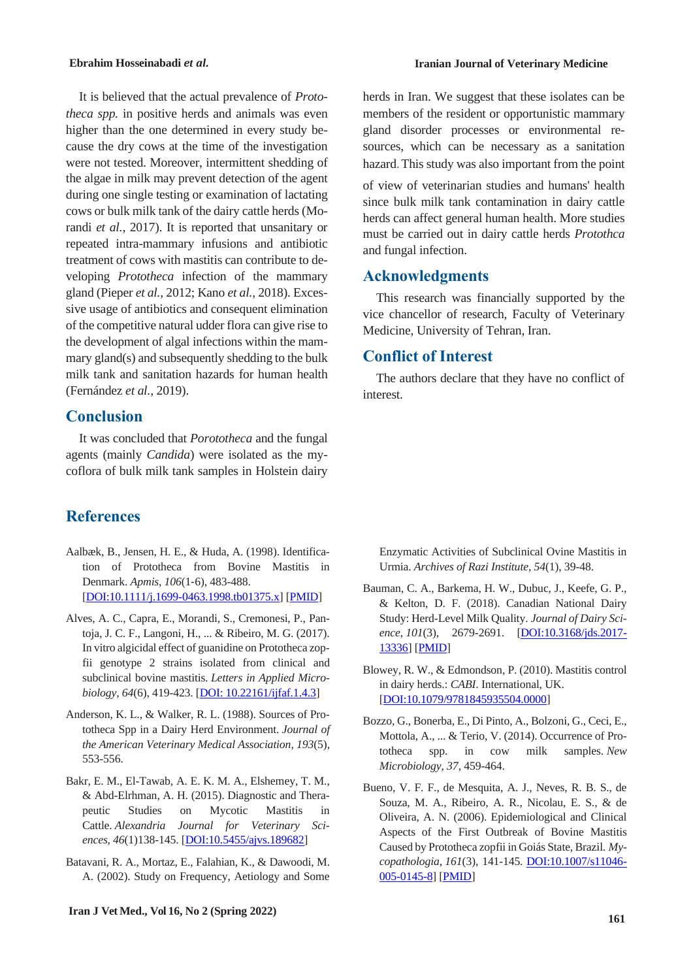It is believed that the actual prevalence of *Prototheca spp.* in positive herds and animals was even higher than the one determined in every study because the dry cows at the time of the investigation were not tested. Moreover, intermittent shedding of the algae in milk may prevent detection of the agent during one single testing or examination of lactating cows or bulk milk tank of the dairy cattle herds (Morandi *et al.*, 2017). It is reported that unsanitary or repeated intra-mammary infusions and antibiotic treatment of cows with mastitis can contribute to developing *Prototheca* infection of the mammary gland (Pieper *et al.,* 2012; Kano *et al.*, 2018). Excessive usage of antibiotics and consequent elimination of the competitive natural udder flora can give rise to the development of algal infections within the mammary gland(s) and subsequently shedding to the bulk milk tank and sanitation hazards for human health (Fernández *et al.,* 2019).

## **Conclusion**

It was concluded that *Porototheca* and the fungal agents (mainly *Candida*) were isolated as the mycoflora of bulk milk tank samples in Holstein dairy

## **References**

- Aalbæk, B., Jensen, H. E., & Huda, A. (1998). Identification of Prototheca from Bovine Mastitis in Denmark. *Apmis*, *106*(1‐6), 483-488. [DOI:10.1111/j.1699-0463.1998.tb01375.x] [PMID]
- Alves, A. C., Capra, E., Morandi, S., Cremonesi, P., Pantoja, J. C. F., Langoni, H., ... & Ribeiro, M. G. (2017). In vitro algicidal effect of guanidine on Prototheca zopfii genotype 2 strains isolated from clinical and subclinical bovine mastitis. *Letters in Applied Microbiology*, *64*(6), 419-423. [DOI: 10.22161/ijfaf.1.4.3]
- Anderson, K. L., & Walker, R. L. (1988). Sources of Prototheca Spp in a Dairy Herd Environment. *Journal of the American Veterinary Medical Association*, *193*(5), 553-556.
- Bakr, E. M., El-Tawab, A. E. K. M. A., Elshemey, T. M., & Abd-Elrhman, A. H. (2015). Diagnostic and Therapeutic Studies on Mycotic Mastitis in Cattle. *Alexandria Journal for Veterinary Sciences*, *46*(1)138-145. [DOI:10.5455/ajvs.189682]
- Batavani, R. A., Mortaz, E., Falahian, K., & Dawoodi, M. A. (2002). Study on Frequency, Aetiology and Some

herds in Iran. We suggest that these isolates can be members of the resident or opportunistic mammary gland disorder processes or environmental resources, which can be necessary as a sanitation hazard. This study was also important from the point

of view of veterinarian studies and humans' health since bulk milk tank contamination in dairy cattle herds can affect general human health. More studies must be carried out in dairy cattle herds *Protothca* and fungal infection.

## **Acknowledgments**

This research was financially supported by the vice chancellor of research, Faculty of Veterinary Medicine, University of Tehran, Iran.

## **Conflict of Interest**

The authors declare that they have no conflict of interest.

Enzymatic Activities of Subclinical Ovine Mastitis in Urmia. *Archives of Razi Institute*, *54*(1), 39-48.

- Bauman, C. A., Barkema, H. W., Dubuc, J., Keefe, G. P., & Kelton, D. F. (2018). Canadian National Dairy Study: Herd-Level Milk Quality. *Journal of Dairy Science*, *101*(3), 2679-2691. [DOI:10.3168/jds.2017- 13336] [PMID]
- Blowey, R. W., & Edmondson, P. (2010). Mastitis control in dairy herds.: *CABI*. International, UK. [DOI:10.1079/9781845935504.0000]
- Bozzo, G., Bonerba, E., Di Pinto, A., Bolzoni, G., Ceci, E., Mottola, A., ... & Terio, V. (2014). Occurrence of Prototheca spp. in cow milk samples. *New Microbiology*, *37*, 459-464.
- Bueno, V. F. F., de Mesquita, A. J., Neves, R. B. S., de Souza, M. A., Ribeiro, A. R., Nicolau, E. S., & de Oliveira, A. N. (2006). Epidemiological and Clinical Aspects of the First Outbreak of Bovine Mastitis Caused by Prototheca zopfii in Goiás State, Brazil. *Mycopathologia*, *161*(3), 141-145. DOI:10.1007/s11046- 005-0145-8] [PMID]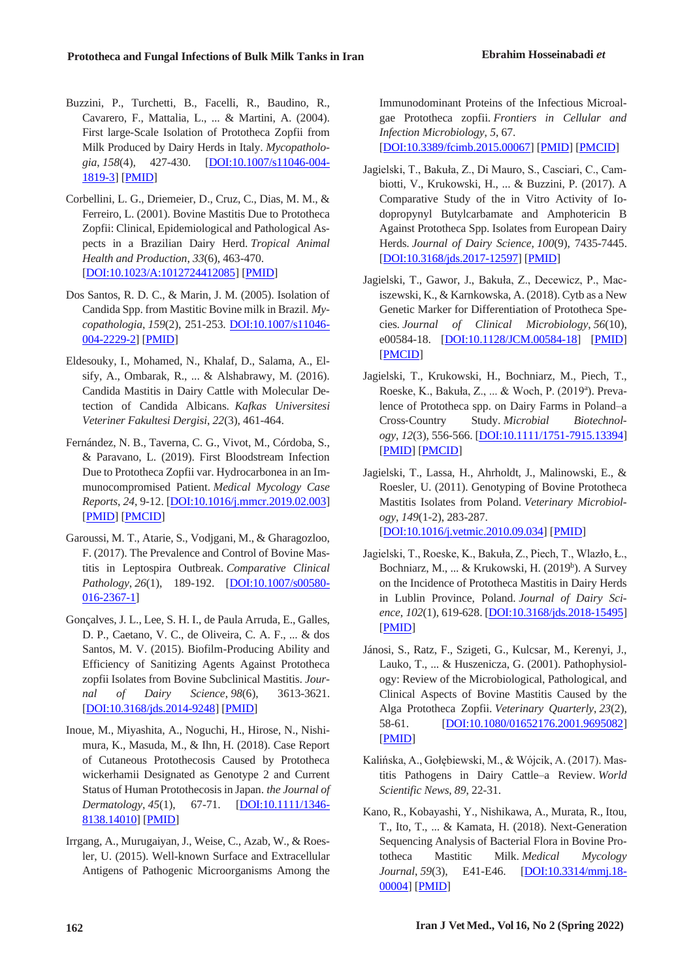- Buzzini, P., Turchetti, B., Facelli, R., Baudino, R., Cavarero, F., Mattalia, L., ... & Martini, A. (2004). First large-Scale Isolation of Prototheca Zopfii from Milk Produced by Dairy Herds in Italy. *Mycopathologia*, *158*(4), 427-430. [DOI:10.1007/s11046-004- 1819-3] [PMID]
- Corbellini, L. G., Driemeier, D., Cruz, C., Dias, M. M., & Ferreiro, L. (2001). Bovine Mastitis Due to Prototheca Zopfii: Clinical, Epidemiological and Pathological Aspects in a Brazilian Dairy Herd. *Tropical Animal Health and Production*, *33*(6), 463-470. [DOI:10.1023/A:1012724412085] [PMID]
- Dos Santos, R. D. C., & Marin, J. M. (2005). Isolation of Candida Spp. from Mastitic Bovine milk in Brazil. *Mycopathologia*, *159*(2), 251-253. DOI:10.1007/s11046- 004-2229-2] [PMID]
- Eldesouky, I., Mohamed, N., Khalaf, D., Salama, A., Elsify, A., Ombarak, R., ... & Alshabrawy, M. (2016). Candida Mastitis in Dairy Cattle with Molecular Detection of Candida Albicans. *Kafkas Universitesi Veteriner Fakultesi Dergisi*, *22*(3), 461-464.
- Fernández, N. B., Taverna, C. G., Vivot, M., Córdoba, S., & Paravano, L. (2019). First Bloodstream Infection Due to Prototheca Zopfii var. Hydrocarbonea in an Immunocompromised Patient. *Medical Mycology Case Reports*, *24*, 9-12. [DOI:10.1016/j.mmcr.2019.02.003] [PMID] [PMCID]
- Garoussi, M. T., Atarie, S., Vodjgani, M., & Gharagozloo, F. (2017). The Prevalence and Control of Bovine Mastitis in Leptospira Outbreak. *Comparative Clinical Pathology*, *26*(1), 189-192. [DOI:10.1007/s00580- 016-2367-1]
- Gonçalves, J. L., Lee, S. H. I., de Paula Arruda, E., Galles, D. P., Caetano, V. C., de Oliveira, C. A. F., ... & dos Santos, M. V. (2015). Biofilm-Producing Ability and Efficiency of Sanitizing Agents Against Prototheca zopfii Isolates from Bovine Subclinical Mastitis. *Journal of Dairy Science*, *98*(6), 3613-3621. [DOI:10.3168/jds.2014-9248] [PMID]
- Inoue, M., Miyashita, A., Noguchi, H., Hirose, N., Nishimura, K., Masuda, M., & Ihn, H. (2018). Case Report of Cutaneous Protothecosis Caused by Prototheca wickerhamii Designated as Genotype 2 and Current Status of Human Protothecosis in Japan. *the Journal of Dermatology*, *45*(1), 67-71. [DOI:10.1111/1346- 8138.14010] [PMID]
- Irrgang, A., Murugaiyan, J., Weise, C., Azab, W., & Roesler, U. (2015). Well-known Surface and Extracellular Antigens of Pathogenic Microorganisms Among the

Immunodominant Proteins of the Infectious Microalgae Prototheca zopfii. *Frontiers in Cellular and Infection Microbiology*, *5*, 67.

[DOI:10.3389/fcimb.2015.00067] [PMID] [PMCID]

- Jagielski, T., Bakuła, Z., Di Mauro, S., Casciari, C., Cambiotti, V., Krukowski, H., ... & Buzzini, P. (2017). A Comparative Study of the in Vitro Activity of Iodopropynyl Butylcarbamate and Amphotericin B Against Prototheca Spp. Isolates from European Dairy Herds. *Journal of Dairy Science*, *100*(9), 7435-7445. [DOI:10.3168/jds.2017-12597] [PMID]
- Jagielski, T., Gawor, J., Bakuła, Z., Decewicz, P., Maciszewski, K., & Karnkowska, A. (2018). Cytb as a New Genetic Marker for Differentiation of Prototheca Species. *Journal of Clinical Microbiology*, *56*(10), e00584-18. [DOI:10.1128/JCM.00584-18] [PMID] [PMCID]
- Jagielski, T., Krukowski, H., Bochniarz, M., Piech, T., Roeske, K., Bakuła, Z., ... & Woch, P. (2019<sup>a</sup>). Prevalence of Prototheca spp. on Dairy Farms in Poland–a Cross‐Country Study. *Microbial Biotechnology*, *12*(3), 556-566. [DOI:10.1111/1751-7915.13394] [PMID] [PMCID]
- Jagielski, T., Lassa, H., Ahrholdt, J., Malinowski, E., & Roesler, U. (2011). Genotyping of Bovine Prototheca Mastitis Isolates from Poland. *Veterinary Microbiology*, *149*(1-2), 283-287. [DOI:10.1016/j.vetmic.2010.09.034] [PMID]
- Jagielski, T., Roeske, K., Bakuła, Z., Piech, T., Wlazło, Ł., Bochniarz, M., ... & Krukowski, H. (2019<sup>b</sup>). A Survey on the Incidence of Prototheca Mastitis in Dairy Herds in Lublin Province, Poland. *Journal of Dairy Science*, *102*(1), 619-628. [DOI:10.3168/jds.2018-15495] [PMID]
- Jánosi, S., Ratz, F., Szigeti, G., Kulcsar, M., Kerenyi, J., Lauko, T., ... & Huszenicza, G. (2001). Pathophysiology: Review of the Microbiological, Pathological, and Clinical Aspects of Bovine Mastitis Caused by the Alga Prototheca Zopfii. *Veterinary Quarterly*, *23*(2), 58-61. **[DOI:10.1080/01652176.2001.9695082]** [PMID]
- Kalińska, A., Gołębiewski, M., & Wójcik, A. (2017). Mastitis Pathogens in Dairy Cattle–a Review. *World Scientific News*, *89*, 22-31.
- Kano, R., Kobayashi, Y., Nishikawa, A., Murata, R., Itou, T., Ito, T., ... & Kamata, H. (2018). Next-Generation Sequencing Analysis of Bacterial Flora in Bovine Prototheca Mastitic Milk. *Medical Mycology Journal*, *59*(3), E41-E46. [DOI:10.3314/mmj.18- 00004] [PMID]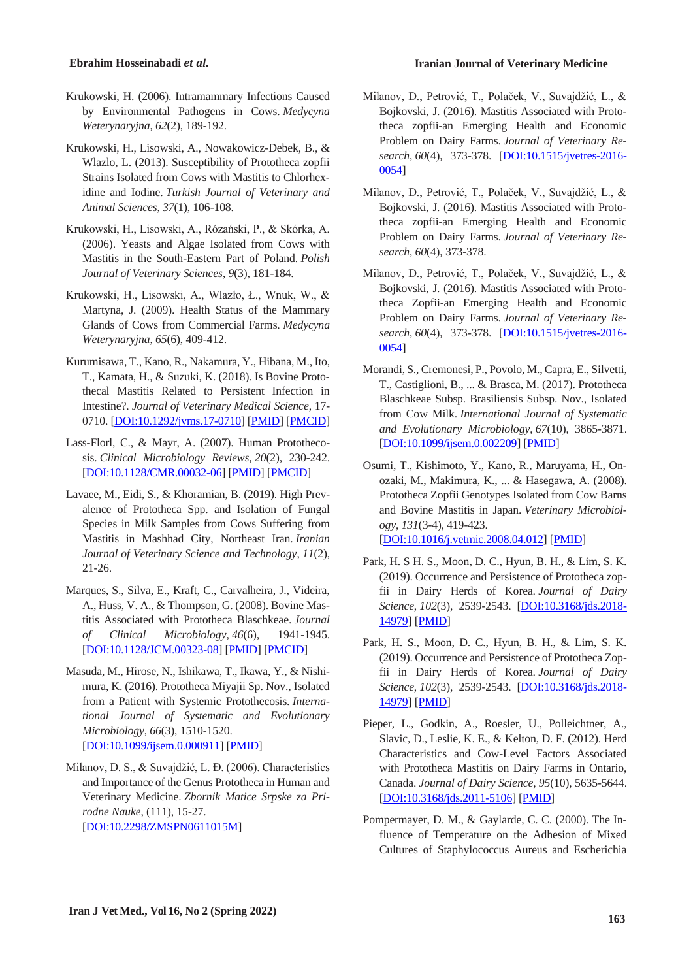- Krukowski, H. (2006). Intramammary Infections Caused by Environmental Pathogens in Cows. *Medycyna Weterynaryjna*, *62*(2), 189-192.
- Krukowski, H., Lisowski, A., Nowakowicz-Debek, B., & Wlazlo, L. (2013). Susceptibility of Prototheca zopfii Strains Isolated from Cows with Mastitis to Chlorhexidine and Iodine. *Turkish Journal of Veterinary and Animal Sciences*, *37*(1), 106-108.
- Krukowski, H., Lisowski, A., Rózański, P., & Skórka, A. (2006). Yeasts and Algae Isolated from Cows with Mastitis in the South-Eastern Part of Poland. *Polish Journal of Veterinary Sciences*, *9*(3), 181-184.
- Krukowski, H., Lisowski, A., Wlazło, Ł., Wnuk, W., & Martyna, J. (2009). Health Status of the Mammary Glands of Cows from Commercial Farms. *Medycyna Weterynaryjna*, *65*(6), 409-412.
- Kurumisawa, T., Kano, R., Nakamura, Y., Hibana, M., Ito, T., Kamata, H., & Suzuki, K. (2018). Is Bovine Protothecal Mastitis Related to Persistent Infection in Intestine?. *Journal of Veterinary Medical Science*, 17- 0710. [DOI:10.1292/jvms.17-0710] [PMID] [PMCID]
- Lass-Florl, C., & Mayr, A. (2007). Human Protothecosis. *Clinical Microbiology Reviews*, *20*(2), 230-242. [DOI:10.1128/CMR.00032-06] [PMID] [PMCID]
- Lavaee, M., Eidi, S., & Khoramian, B. (2019). High Prevalence of Prototheca Spp. and Isolation of Fungal Species in Milk Samples from Cows Suffering from Mastitis in Mashhad City, Northeast Iran. *Iranian Journal of Veterinary Science and Technology*, *11*(2), 21-26.
- Marques, S., Silva, E., Kraft, C., Carvalheira, J., Videira, A., Huss, V. A., & Thompson, G. (2008). Bovine Mastitis Associated with Prototheca Blaschkeae. *Journal of Clinical Microbiology*, *46*(6), 1941-1945. [DOI:10.1128/JCM.00323-08] [PMID] [PMCID]
- Masuda, M., Hirose, N., Ishikawa, T., Ikawa, Y., & Nishimura, K. (2016). Prototheca Miyajii Sp. Nov., Isolated from a Patient with Systemic Protothecosis. *International Journal of Systematic and Evolutionary Microbiology*, *66*(3), 1510-1520. [DOI:10.1099/ijsem.0.000911] [PMID]
- Milanov, D. S., & Suvajdžić, L. Ð. (2006). Characteristics and Importance of the Genus Prototheca in Human and Veterinary Medicine. *Zbornik Matice Srpske za Prirodne Nauke*, (111), 15-27. [DOI:10.2298/ZMSPN0611015M]
- Milanov, D., Petrović, T., Polaček, V., Suvajdžić, L., & Bojkovski, J. (2016). Mastitis Associated with Prototheca zopfii-an Emerging Health and Economic Problem on Dairy Farms. *Journal of Veterinary Research*, *60*(4), 373-378. [DOI:10.1515/jvetres-2016- 0054]
- Milanov, D., Petrović, T., Polaček, V., Suvajdžić, L., & Bojkovski, J. (2016). Mastitis Associated with Prototheca zopfii-an Emerging Health and Economic Problem on Dairy Farms. *Journal of Veterinary Research*, *60*(4), 373-378.
- Milanov, D., Petrović, T., Polaček, V., Suvajdžić, L., & Bojkovski, J. (2016). Mastitis Associated with Prototheca Zopfii-an Emerging Health and Economic Problem on Dairy Farms. *Journal of Veterinary Research*, *60*(4), 373-378. [DOI:10.1515/jvetres-2016- 0054]
- Morandi, S., Cremonesi, P., Povolo, M., Capra, E., Silvetti, T., Castiglioni, B., ... & Brasca, M. (2017). Prototheca Blaschkeae Subsp. Brasiliensis Subsp. Nov., Isolated from Cow Milk. *International Journal of Systematic and Evolutionary Microbiology*, *67*(10), 3865-3871. [DOI:10.1099/ijsem.0.002209] [PMID]
- Osumi, T., Kishimoto, Y., Kano, R., Maruyama, H., Onozaki, M., Makimura, K., ... & Hasegawa, A. (2008). Prototheca Zopfii Genotypes Isolated from Cow Barns and Bovine Mastitis in Japan. *Veterinary Microbiology*, *131*(3-4), 419-423. [DOI:10.1016/j.vetmic.2008.04.012] [PMID]
- Park, H. S H. S., Moon, D. C., Hyun, B. H., & Lim, S. K. (2019). Occurrence and Persistence of Prototheca zopfii in Dairy Herds of Korea. *Journal of Dairy Science*, *102*(3), 2539-2543. [DOI:10.3168/jds.2018- 14979] [PMID]
- Park, H. S., Moon, D. C., Hyun, B. H., & Lim, S. K. (2019). Occurrence and Persistence of Prototheca Zopfii in Dairy Herds of Korea. *Journal of Dairy Science*, *102*(3), 2539-2543. [DOI:10.3168/jds.2018- 14979] [PMID]
- Pieper, L., Godkin, A., Roesler, U., Polleichtner, A., Slavic, D., Leslie, K. E., & Kelton, D. F. (2012). Herd Characteristics and Cow-Level Factors Associated with Prototheca Mastitis on Dairy Farms in Ontario, Canada. *Journal of Dairy Science*, *95*(10), 5635-5644. [DOI:10.3168/jds.2011-5106] [PMID]
- Pompermayer, D. M., & Gaylarde, C. C. (2000). The Influence of Temperature on the Adhesion of Mixed Cultures of Staphylococcus Aureus and Escherichia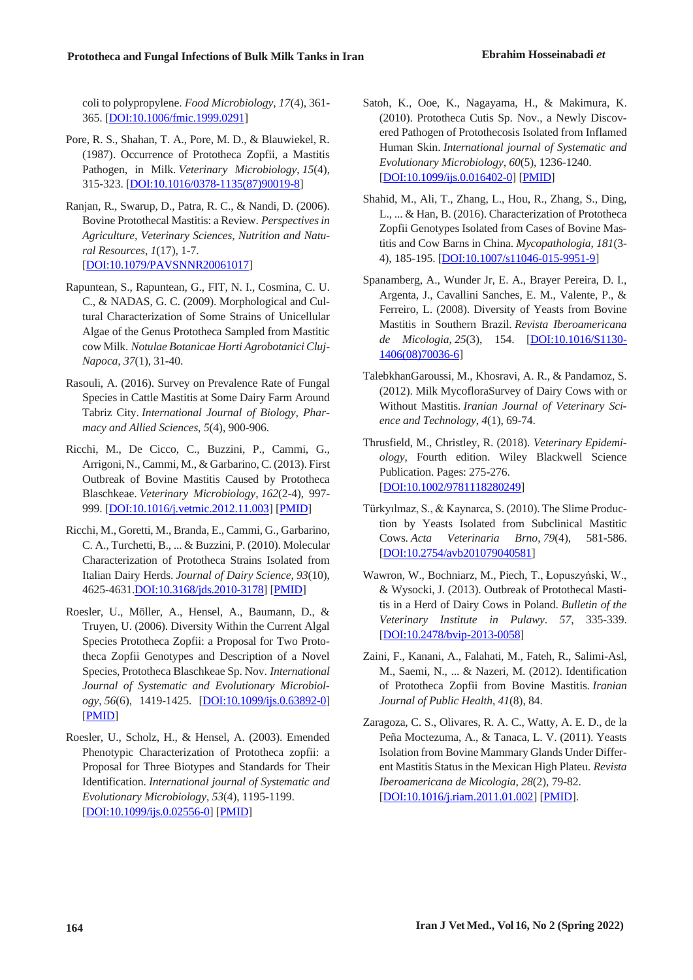coli to polypropylene. *Food Microbiology*, *17*(4), 361- 365. [DOI:10.1006/fmic.1999.0291]

- Pore, R. S., Shahan, T. A., Pore, M. D., & Blauwiekel, R. (1987). Occurrence of Prototheca Zopfii, a Mastitis Pathogen, in Milk. *Veterinary Microbiology*, *15*(4), 315-323. [DOI:10.1016/0378-1135(87)90019-8]
- Ranjan, R., Swarup, D., Patra, R. C., & Nandi, D. (2006). Bovine Protothecal Mastitis: a Review. *Perspectives in Agriculture, Veterinary Sciences, Nutrition and Natural Resources*, *1*(17), 1-7. [DOI:10.1079/PAVSNNR20061017]
- Rapuntean, S., Rapuntean, G., FIT, N. I., Cosmina, C. U. C., & NADAS, G. C. (2009). Morphological and Cultural Characterization of Some Strains of Unicellular Algae of the Genus Prototheca Sampled from Mastitic cow Milk. *Notulae Botanicae Horti Agrobotanici Cluj-Napoca*, *37*(1), 31-40.
- Rasouli, A. (2016). Survey on Prevalence Rate of Fungal Species in Cattle Mastitis at Some Dairy Farm Around Tabriz City. *International Journal of Biology, Pharmacy and Allied Sciences*, *5*(4), 900-906.
- Ricchi, M., De Cicco, C., Buzzini, P., Cammi, G., Arrigoni, N., Cammi, M., & Garbarino, C. (2013). First Outbreak of Bovine Mastitis Caused by Prototheca Blaschkeae. *Veterinary Microbiology*, *162*(2-4), 997- 999. [DOI:10.1016/j.vetmic.2012.11.003] [PMID]
- Ricchi, M., Goretti, M., Branda, E., Cammi, G., Garbarino, C. A., Turchetti, B., ... & Buzzini, P. (2010). Molecular Characterization of Prototheca Strains Isolated from Italian Dairy Herds. *Journal of Dairy Science*, *93*(10), 4625-4631.DOI:10.3168/jds.2010-3178] [PMID]
- Roesler, U., Möller, A., Hensel, A., Baumann, D., & Truyen, U. (2006). Diversity Within the Current Algal Species Prototheca Zopfii: a Proposal for Two Prototheca Zopfii Genotypes and Description of a Novel Species, Prototheca Blaschkeae Sp. Nov. *International Journal of Systematic and Evolutionary Microbiology*, *56*(6), 1419-1425. [DOI:10.1099/ijs.0.63892-0] [PMID]
- Roesler, U., Scholz, H., & Hensel, A. (2003). Emended Phenotypic Characterization of Prototheca zopfii: a Proposal for Three Biotypes and Standards for Their Identification. *International journal of Systematic and Evolutionary Microbiology*, *53*(4), 1195-1199. [DOI:10.1099/ijs.0.02556-0] [PMID]
- Satoh, K., Ooe, K., Nagayama, H., & Makimura, K. (2010). Prototheca Cutis Sp. Nov., a Newly Discovered Pathogen of Protothecosis Isolated from Inflamed Human Skin. *International journal of Systematic and Evolutionary Microbiology*, *60*(5), 1236-1240. [DO<u>I:10.1099/ijs.0.016402-0]</u> [PMID]
- Shahid, M., Ali, T., Zhang, L., Hou, R., Zhang, S., Ding, L., ... & Han, B. (2016). Characterization of Prototheca Zopfii Genotypes Isolated from Cases of Bovine Mastitis and Cow Barns in China. *Mycopathologia*, *181*(3- 4), 185-195. [DOI:10.1007/s11046-015-9951-9]
- Spanamberg, A., Wunder Jr, E. A., Brayer Pereira, D. I., Argenta, J., Cavallini Sanches, E. M., Valente, P., & Ferreiro, L. (2008). Diversity of Yeasts from Bovine Mastitis in Southern Brazil. *Revista Iberoamericana de Micologia*, *25*(3), 154. [DOI:10.1016/S1130- 1406(08)70036-6]
- TalebkhanGaroussi, M., Khosravi, A. R., & Pandamoz, S. (2012). Milk MycofloraSurvey of Dairy Cows with or Without Mastitis. *Iranian Journal of Veterinary Science and Technology*, *4*(1), 69-74.
- Thrusfield, M., Christley, R. (2018). *Veterinary Epidemiology*, Fourth edition. Wiley Blackwell Science Publication. Pages: 275-276. [DOI:10.1002/9781118280249]
- Türkyılmaz, S., & Kaynarca, S. (2010). The Slime Production by Yeasts Isolated from Subclinical Mastitic Cows. *Acta Veterinaria Brno*, *79*(4), 581-586. [DOI:10.2754/avb201079040581]
- Wawron, W., Bochniarz, M., Piech, T., Łopuszyński, W., & Wysocki, J. (2013). Outbreak of Protothecal Mastitis in a Herd of Dairy Cows in Poland. *Bulletin of the Veterinary Institute in Pulawy*. *57*, 335-339. [DOI:10.2478/bvip-2013-0058]
- Zaini, F., Kanani, A., Falahati, M., Fateh, R., Salimi-Asl, M., Saemi, N., ... & Nazeri, M. (2012). Identification of Prototheca Zopfii from Bovine Mastitis. *Iranian Journal of Public Health*, *41*(8), 84.
- Zaragoza, C. S., Olivares, R. A. C., Watty, A. E. D., de la Peña Moctezuma, A., & Tanaca, L. V. (2011). Yeasts Isolation from Bovine Mammary Glands Under Different Mastitis Status in the Mexican High Plateu. *Revista Iberoamericana de Micologia*, *28*(2), 79-82. [DOI:10.1016/j.riam.2011.01.002] [PMID].